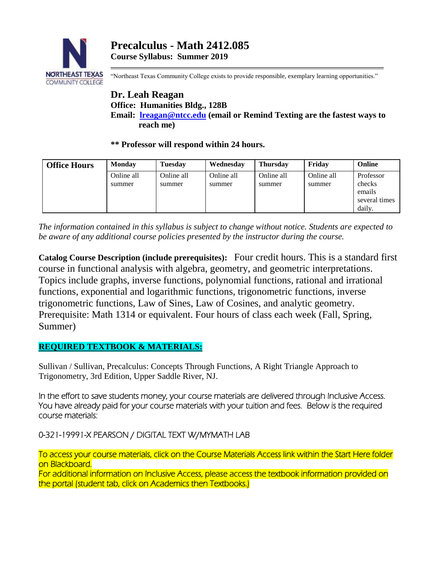

"Northeast Texas Community College exists to provide responsible, exemplary learning opportunities."

# **Dr. Leah Reagan Office: Humanities Bldg., 128B Email: [lreagan@ntcc.edu](mailto:lreagan@ntcc.edu) (email or Remind Texting are the fastest ways to reach me)**

**\*\* Professor will respond within 24 hours.**

| <b>Office Hours</b> | <b>Monday</b> | <b>Tuesday</b> | Wednesday  | <b>Thursday</b> | Fridav     | Online        |
|---------------------|---------------|----------------|------------|-----------------|------------|---------------|
|                     | Online all    | Online all     | Online all | Online all      | Online all | Professor     |
|                     | summer        | summer         | summer     | summer          | summer     | checks        |
|                     |               |                |            |                 |            | emails        |
|                     |               |                |            |                 |            | several times |
|                     |               |                |            |                 |            | daily.        |

*The information contained in this syllabus is subject to change without notice. Students are expected to be aware of any additional course policies presented by the instructor during the course.*

**Catalog Course Description (include prerequisites):** Four credit hours. This is a standard first course in functional analysis with algebra, geometry, and geometric interpretations. Topics include graphs, inverse functions, polynomial functions, rational and irrational functions, exponential and logarithmic functions, trigonometric functions, inverse trigonometric functions, Law of Sines, Law of Cosines, and analytic geometry. Prerequisite: Math 1314 or equivalent. Four hours of class each week (Fall, Spring, Summer)

## **REQUIRED TEXTBOOK & MATERIALS:**

Sullivan / Sullivan, Precalculus: Concepts Through Functions, A Right Triangle Approach to Trigonometry, 3rd Edition, Upper Saddle River, NJ.

In the effort to save students money, your course materials are delivered through Inclusive Access. You have already paid for your course materials with your tuition and fees. Below is the required course materials:

0-321-19991-X PEARSON / DIGITAL TEXT W/MYMATH LAB

To access your course materials, click on the Course Materials Access link within the Start Here folder on Blackboard.

For additional information on Inclusive Access, please access the textbook information provided on the portal (student tab, click on Academics then Textbooks.)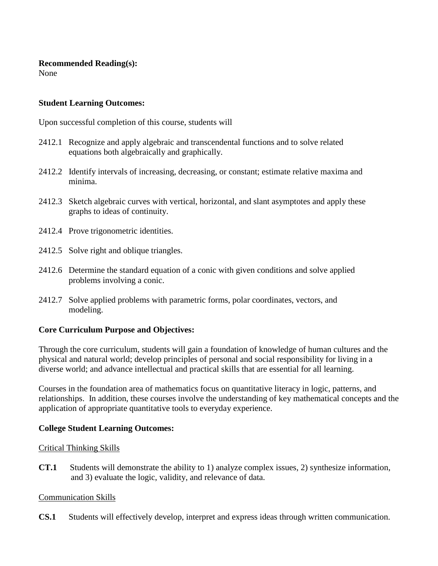### **Recommended Reading(s):**

None

### **Student Learning Outcomes:**

Upon successful completion of this course, students will

- 2412.1 Recognize and apply algebraic and transcendental functions and to solve related equations both algebraically and graphically.
- 2412.2 Identify intervals of increasing, decreasing, or constant; estimate relative maxima and minima.
- 2412.3 Sketch algebraic curves with vertical, horizontal, and slant asymptotes and apply these graphs to ideas of continuity.
- 2412.4 Prove trigonometric identities.
- 2412.5 Solve right and oblique triangles.
- 2412.6 Determine the standard equation of a conic with given conditions and solve applied problems involving a conic.
- 2412.7 Solve applied problems with parametric forms, polar coordinates, vectors, and modeling.

### **Core Curriculum Purpose and Objectives:**

Through the core curriculum, students will gain a foundation of knowledge of human cultures and the physical and natural world; develop principles of personal and social responsibility for living in a diverse world; and advance intellectual and practical skills that are essential for all learning.

Courses in the foundation area of mathematics focus on quantitative literacy in logic, patterns, and relationships. In addition, these courses involve the understanding of key mathematical concepts and the application of appropriate quantitative tools to everyday experience.

### **College Student Learning Outcomes:**

### Critical Thinking Skills

**CT.1** Students will demonstrate the ability to 1) analyze complex issues, 2) synthesize information, and 3) evaluate the logic, validity, and relevance of data.

### Communication Skills

**CS.1** Students will effectively develop, interpret and express ideas through written communication.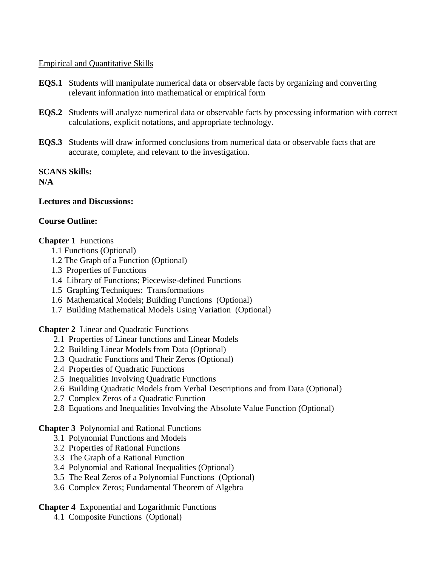#### Empirical and Quantitative Skills

- **EQS.1** Students will manipulate numerical data or observable facts by organizing and converting relevant information into mathematical or empirical form
- **EQS.2** Students will analyze numerical data or observable facts by processing information with correct calculations, explicit notations, and appropriate technology.
- **EQS.3** Students will draw informed conclusions from numerical data or observable facts that are accurate, complete, and relevant to the investigation.

#### **SCANS Skills: N/A**

### **Lectures and Discussions:**

## **Course Outline:**

## **Chapter 1** Functions

- 1.1 Functions (Optional)
- 1.2 The Graph of a Function (Optional)
- 1.3 Properties of Functions
- 1.4 Library of Functions; Piecewise-defined Functions
- 1.5 Graphing Techniques: Transformations
- 1.6 Mathematical Models; Building Functions (Optional)
- 1.7 Building Mathematical Models Using Variation (Optional)

**Chapter 2** Linear and Quadratic Functions

- 2.1 Properties of Linear functions and Linear Models
- 2.2 Building Linear Models from Data (Optional)
- 2.3 Quadratic Functions and Their Zeros (Optional)
- 2.4 Properties of Quadratic Functions
- 2.5 Inequalities Involving Quadratic Functions
- 2.6 Building Quadratic Models from Verbal Descriptions and from Data (Optional)
- 2.7 Complex Zeros of a Quadratic Function
- 2.8 Equations and Inequalities Involving the Absolute Value Function (Optional)

## **Chapter 3** Polynomial and Rational Functions

- 3.1 Polynomial Functions and Models
- 3.2 Properties of Rational Functions
- 3.3 The Graph of a Rational Function
- 3.4 Polynomial and Rational Inequalities (Optional)
- 3.5 The Real Zeros of a Polynomial Functions (Optional)
- 3.6 Complex Zeros; Fundamental Theorem of Algebra

## **Chapter 4** Exponential and Logarithmic Functions

4.1 Composite Functions (Optional)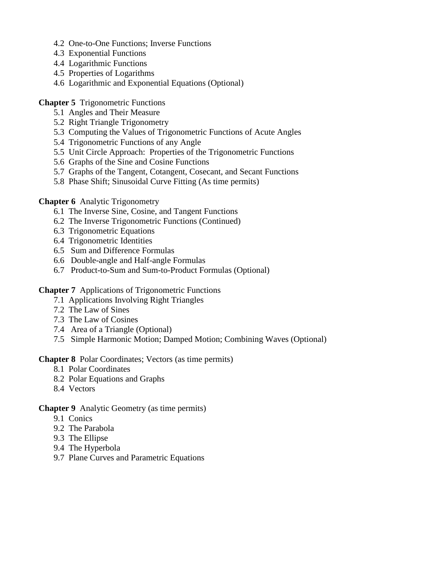- 4.2 One-to-One Functions; Inverse Functions
- 4.3 Exponential Functions
- 4.4 Logarithmic Functions
- 4.5 Properties of Logarithms
- 4.6 Logarithmic and Exponential Equations (Optional)

#### **Chapter 5** Trigonometric Functions

- 5.1 Angles and Their Measure
- 5.2 Right Triangle Trigonometry
- 5.3 Computing the Values of Trigonometric Functions of Acute Angles
- 5.4 Trigonometric Functions of any Angle
- 5.5 Unit Circle Approach: Properties of the Trigonometric Functions
- 5.6 Graphs of the Sine and Cosine Functions
- 5.7 Graphs of the Tangent, Cotangent, Cosecant, and Secant Functions
- 5.8 Phase Shift; Sinusoidal Curve Fitting (As time permits)

#### **Chapter 6** Analytic Trigonometry

- 6.1 The Inverse Sine, Cosine, and Tangent Functions
- 6.2 The Inverse Trigonometric Functions (Continued)
- 6.3 Trigonometric Equations
- 6.4 Trigonometric Identities
- 6.5 Sum and Difference Formulas
- 6.6 Double-angle and Half-angle Formulas
- 6.7 Product-to-Sum and Sum-to-Product Formulas (Optional)

**Chapter 7** Applications of Trigonometric Functions

- 7.1 Applications Involving Right Triangles
- 7.2 The Law of Sines
- 7.3 The Law of Cosines
- 7.4 Area of a Triangle (Optional)
- 7.5 Simple Harmonic Motion; Damped Motion; Combining Waves (Optional)

**Chapter 8** Polar Coordinates; Vectors (as time permits)

- 8.1 Polar Coordinates
- 8.2 Polar Equations and Graphs
- 8.4 Vectors

#### **Chapter 9** Analytic Geometry (as time permits)

- 9.1 Conics
- 9.2 The Parabola
- 9.3 The Ellipse
- 9.4 The Hyperbola
- 9.7 Plane Curves and Parametric Equations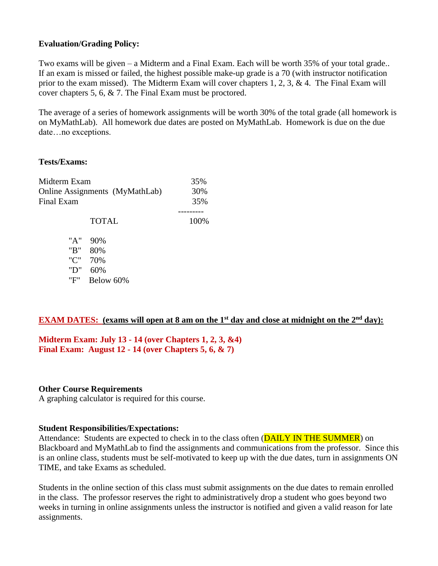### **Evaluation/Grading Policy:**

Two exams will be given – a Midterm and a Final Exam. Each will be worth 35% of your total grade.. If an exam is missed or failed, the highest possible make-up grade is a 70 (with instructor notification prior to the exam missed). The Midterm Exam will cover chapters 1, 2, 3, & 4. The Final Exam will cover chapters 5, 6, & 7. The Final Exam must be proctored.

The average of a series of homework assignments will be worth 30% of the total grade (all homework is on MyMathLab). All homework due dates are posted on MyMathLab. Homework is due on the due date…no exceptions.

### **Tests/Exams:**

| Midterm Exam                   | 35%          |      |
|--------------------------------|--------------|------|
| Online Assignments (MyMathLab) | 30%          |      |
| Final Exam                     | 35%          |      |
|                                |              |      |
|                                | <b>TOTAL</b> | 100% |
| "A"                            | 90%          |      |
| "B"                            | 80%          |      |
| "C"                            | 70%          |      |
| "D"                            | 60%          |      |
| "F"                            | Below 60%    |      |

### **EXAM DATES:** (exams will open at 8 am on the 1<sup>st</sup> day and close at midnight on the 2<sup>nd</sup> day):

**Midterm Exam: July 13 - 14 (over Chapters 1, 2, 3, &4) Final Exam: August 12 - 14 (over Chapters 5, 6, & 7)**

#### **Other Course Requirements**

A graphing calculator is required for this course.

#### **Student Responsibilities/Expectations:**

Attendance: Students are expected to check in to the class often (**DAILY IN THE SUMMER**) on Blackboard and MyMathLab to find the assignments and communications from the professor. Since this is an online class, students must be self-motivated to keep up with the due dates, turn in assignments ON TIME, and take Exams as scheduled.

Students in the online section of this class must submit assignments on the due dates to remain enrolled in the class. The professor reserves the right to administratively drop a student who goes beyond two weeks in turning in online assignments unless the instructor is notified and given a valid reason for late assignments.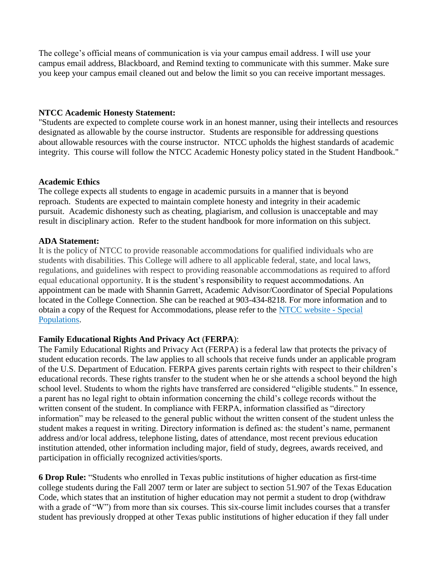The college's official means of communication is via your campus email address. I will use your campus email address, Blackboard, and Remind texting to communicate with this summer. Make sure you keep your campus email cleaned out and below the limit so you can receive important messages.

#### **NTCC Academic Honesty Statement:**

"Students are expected to complete course work in an honest manner, using their intellects and resources designated as allowable by the course instructor. Students are responsible for addressing questions about allowable resources with the course instructor. NTCC upholds the highest standards of academic integrity. This course will follow the NTCC Academic Honesty policy stated in the Student Handbook."

#### **Academic Ethics**

The college expects all students to engage in academic pursuits in a manner that is beyond reproach. Students are expected to maintain complete honesty and integrity in their academic pursuit. Academic dishonesty such as cheating, plagiarism, and collusion is unacceptable and may result in disciplinary action. Refer to the student handbook for more information on this subject.

#### **ADA Statement:**

It is the policy of NTCC to provide reasonable accommodations for qualified individuals who are students with disabilities. This College will adhere to all applicable federal, state, and local laws, regulations, and guidelines with respect to providing reasonable accommodations as required to afford equal educational opportunity. It is the student's responsibility to request accommodations. An appointment can be made with Shannin Garrett, Academic Advisor/Coordinator of Special Populations located in the College Connection. She can be reached at 903-434-8218. For more information and to obtain a copy of the Request for Accommodations, please refer to the [NTCC website -](http://www.ntcc.edu/index.php?module=Pagesetter&func=viewpub&tid=111&pid=1) Special [Populations.](http://www.ntcc.edu/index.php?module=Pagesetter&func=viewpub&tid=111&pid=1)

### **Family Educational Rights And Privacy Act** (**FERPA**):

The Family Educational Rights and Privacy Act (FERPA) is a federal law that protects the privacy of student education records. The law applies to all schools that receive funds under an applicable program of the U.S. Department of Education. FERPA gives parents certain rights with respect to their children's educational records. These rights transfer to the student when he or she attends a school beyond the high school level. Students to whom the rights have transferred are considered "eligible students." In essence, a parent has no legal right to obtain information concerning the child's college records without the written consent of the student. In compliance with FERPA, information classified as "directory information" may be released to the general public without the written consent of the student unless the student makes a request in writing. Directory information is defined as: the student's name, permanent address and/or local address, telephone listing, dates of attendance, most recent previous education institution attended, other information including major, field of study, degrees, awards received, and participation in officially recognized activities/sports.

**6 Drop Rule:** "Students who enrolled in Texas public institutions of higher education as first-time college students during the Fall 2007 term or later are subject to section 51.907 of the Texas Education Code, which states that an institution of higher education may not permit a student to drop (withdraw with a grade of "W") from more than six courses. This six-course limit includes courses that a transfer student has previously dropped at other Texas public institutions of higher education if they fall under